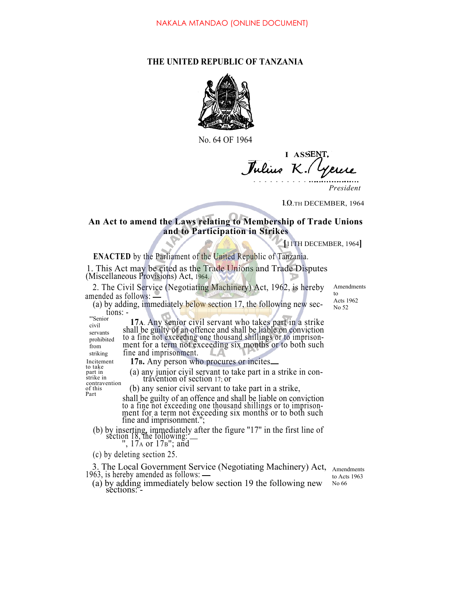## **THE UNITED REPUBLIC OF TANZANIA**



No. 64 OF 1964

**I ASSE** *J K.*

1.0. TH DECEMBER, 1964

## **An Act to amend the Laws relating to Membership of Trade Unions and to Participation in Strikes**

**[**11TH DECEMBER, 1964**]**

**ENACTED** by the Parliament of the United Republic of Tanzania.

1. This Act may be cited as the Trade Unions and Trade Disputes (Miscellaneous Provisions) Act, 1964.

2. The Civil Service (Negotiating Machinery) Act, 1962, is hereby amended as follows:

(a) by adding, immediately below section 17, the following new sec tions: -

Amendments to Acts 1962 No 52

"'Senior civil servants prohibited from striking

part in strike in **17A**. Any senior civil servant who takes part in a strike shall be guilty of an offence and shall be liable on conviction to a fine not exceeding one thousand shillings or to imprisonment for a term not exceeding six months or to both such fine and imprisonment.

Incitement **17B.** Any person who procures or incites to take part in a strike in con-<br>travention (a) any junior civil servant to take part in a strike in con-<br>contravention of section 17; or

contravention<br>of this

- $P<sub>art</sub>$  (b) any senior civil servant to take part in a strike,  $P<sub>art</sub>$  shall be guilty of an offence and shall be liable on conviction to a fine not exceeding one thousand shillings or to imprisonment for a term not exceeding six months or to both such fine and imprisonment.'';
	- (b) by inserting, immediately after the figure "17" in the first line of section 18, the following:  $\frac{17}{17}$  or 17B"; and
		-
	- (c) by deleting section 25.

3. The Local Government Service (Negotiating Machinery) Act, 1963, is hereby amended as follows:

(a) by adding immediately below section 19 the following new sections: -

Amendments to Acts 1963 No 66

*President*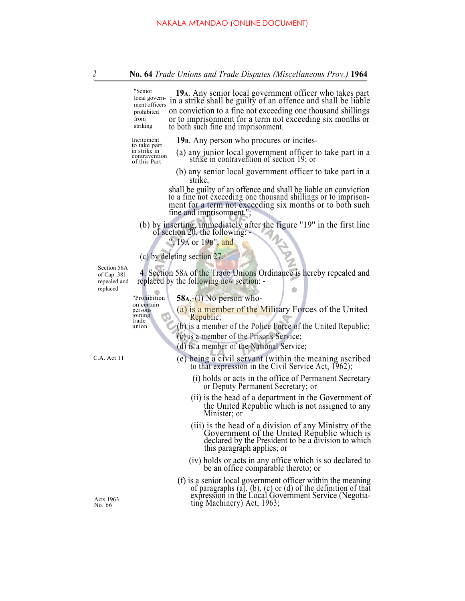|                                                          | "Senior<br>19 A. Any senior local government officer who takes part<br>in a strike shall be guilty of an offence and shall be liable<br>local govern-<br>ment officers<br>on conviction to a fine not exceeding one thousand shillings<br>prohibited<br>or to imprisonment for a term not exceeding six months or<br>from<br>striking<br>to both such fine and imprisonment.                                                                                                                                   |  |
|----------------------------------------------------------|----------------------------------------------------------------------------------------------------------------------------------------------------------------------------------------------------------------------------------------------------------------------------------------------------------------------------------------------------------------------------------------------------------------------------------------------------------------------------------------------------------------|--|
|                                                          | Incitement<br>19в. Any person who procures or incites-<br>to take part<br>in strike in<br>(a) any junior local government officer to take part in a strike in contravention of section 19; or<br>contravention                                                                                                                                                                                                                                                                                                 |  |
|                                                          | of this Part<br>(b) any senior local government officer to take part in a<br>strike,                                                                                                                                                                                                                                                                                                                                                                                                                           |  |
|                                                          | shall be guilty of an offence and shall be liable on conviction<br>to a fine not exceeding one thousand shillings or to imprison-<br>ment for a term not exceeding six months or to both such<br>fine and imprisonment.";                                                                                                                                                                                                                                                                                      |  |
|                                                          | (b) by inserting, immediately after the figure "19" in the first line of section 20, the following:<br>$\begin{picture}(120,15) \put(0,0){\vector(1,0){30}} \put(15,0){\vector(1,0){30}} \put(15,0){\vector(1,0){30}} \put(15,0){\vector(1,0){30}} \put(15,0){\vector(1,0){30}} \put(15,0){\vector(1,0){30}} \put(15,0){\vector(1,0){30}} \put(15,0){\vector(1,0){30}} \put(15,0){\vector(1,0){30}} \put(15,0){\vector(1,0){30}} \put(15,0){\vector(1,0){30}} \put(15,0){\vector($<br>", $19A$ or $19B$ "; and |  |
|                                                          | (c) by deleting section 27.                                                                                                                                                                                                                                                                                                                                                                                                                                                                                    |  |
| Section 58A<br>of Cap. $381$<br>repealed and<br>replaced | 4. Section 58A of the Trade Unions Ordinance is hereby repealed and<br>replaced by the following new section: -                                                                                                                                                                                                                                                                                                                                                                                                |  |
|                                                          | $58A,-(1)$ No person who-<br>"Prohibition                                                                                                                                                                                                                                                                                                                                                                                                                                                                      |  |
|                                                          | on certain<br>(a) is a member of the Military Forces of the United<br>persons<br>joining<br>Republic;<br>trade                                                                                                                                                                                                                                                                                                                                                                                                 |  |
|                                                          | (b) is a member of the Police Force of the United Republic;<br>union                                                                                                                                                                                                                                                                                                                                                                                                                                           |  |
|                                                          | (c) is a member of the Prisons Service;<br>(d) is a member of the National Service;                                                                                                                                                                                                                                                                                                                                                                                                                            |  |
| A. Act 11                                                | (e) being a civil servant (within the meaning ascribed<br>to that expression in the Civil Service Act, 1962);                                                                                                                                                                                                                                                                                                                                                                                                  |  |
|                                                          | (i) holds or acts in the office of Permanent Secretary<br>or Deputy Permanent Secretary; or                                                                                                                                                                                                                                                                                                                                                                                                                    |  |
|                                                          | (ii) is the head of a department in the Government of<br>the United Republic which is not assigned to any<br>Minister; or                                                                                                                                                                                                                                                                                                                                                                                      |  |
|                                                          | (iii) is the head of a division of any Ministry of the<br>Government of the United Republic which is<br>declared by the President to be a division to which<br>this paragraph applies; or                                                                                                                                                                                                                                                                                                                      |  |
|                                                          | (iv) holds or acts in any office which is so declared to<br>be an office comparable thereto; or                                                                                                                                                                                                                                                                                                                                                                                                                |  |
| Acts 1963<br>Vo. 66                                      | (f) is a senior local government officer within the meaning<br>of paragraphs $(a)$ , $(b)$ , $(c)$ or $(d)$ of the definition of that expression in the Local Government Service (Negotia-<br>ting Machinery) Act, 1963;                                                                                                                                                                                                                                                                                       |  |

 $C.A.$  Act 1

Acts 1963<br>No. 66